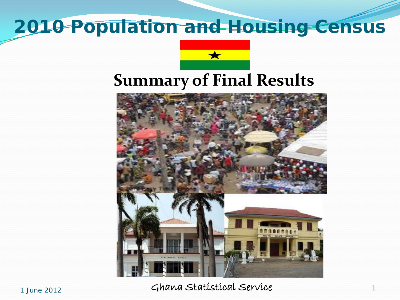### **2010 Population and Housing Census**





1 June 2012 1 Ghana Statistical Service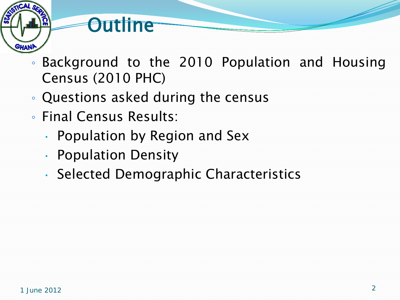# SHAN

- **Outline**
- Background to the 2010 Population and Housing Census (2010 PHC)
- Questions asked during the census
- Final Census Results:
	- Population by Region and Sex
	- Population Density
	- Selected Demographic Characteristics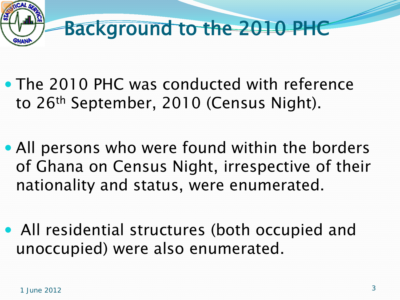

- The 2010 PHC was conducted with reference to 26<sup>th</sup> September, 2010 (Census Night).
- All persons who were found within the borders of Ghana on Census Night, irrespective of their nationality and status, were enumerated.
- All residential structures (both occupied and unoccupied) were also enumerated.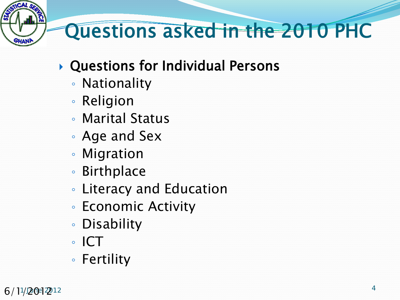# Questions asked in the 2010 PHC

- Questions for Individual Persons
	- Nationality
	- Religion
	- Marital Status
	- Age and Sex
	- Migration
	- Birthplace
	- Literacy and Education
	- Economic Activity
	- Disability
	- ICT
	- Fertility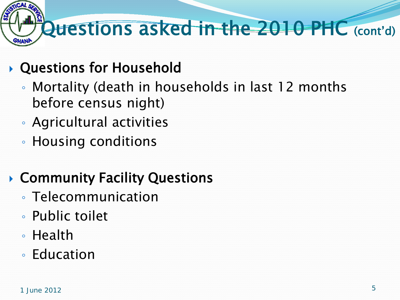# Questions asked in the 2010 PHC (cont'd)

#### Questions for Household

- Mortality (death in households in last 12 months before census night)
- Agricultural activities
- Housing conditions

#### ▶ Community Facility Questions

- Telecommunication
- Public toilet
- Health
- Education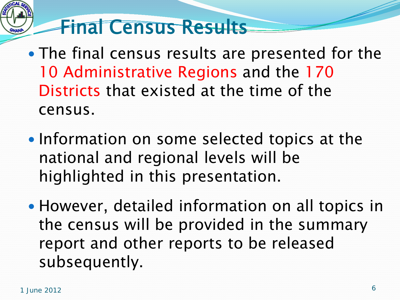# Final Census Results

- The final census results are presented for the 10 Administrative Regions and the 170 Districts that existed at the time of the census.
- Information on some selected topics at the national and regional levels will be highlighted in this presentation.
- However, detailed information on all topics in the census will be provided in the summary report and other reports to be released subsequently.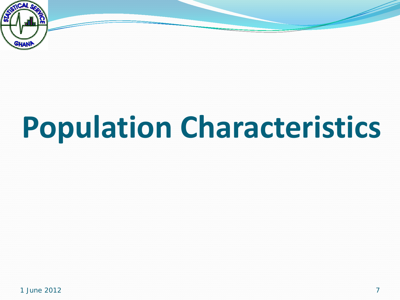

# **Population Characteristics**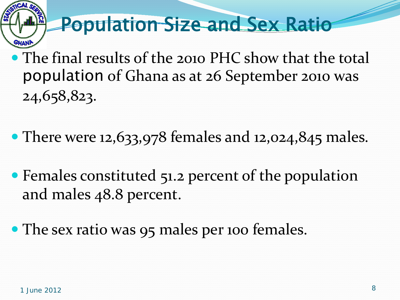## Population Size and Sex Ratio

- The final results of the 2010 PHC show that the total population of Ghana as at 26 September 2010 was 24,658,823.
- There were 12,633,978 females and 12,024,845 males.
- Females constituted 51.2 percent of the population and males 48.8 percent.
- The sex ratio was 95 males per 100 females.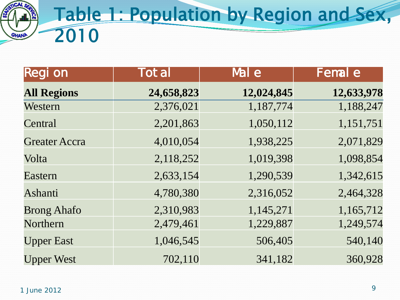

| <b>Region</b>        | <b>Total</b> | Mal e      | <b>Femal e</b> |
|----------------------|--------------|------------|----------------|
| <b>All Regions</b>   | 24,658,823   | 12,024,845 | 12,633,978     |
| Western              | 2,376,021    | 1,187,774  | 1,188,247      |
| Central              | 2,201,863    | 1,050,112  | 1,151,751      |
| <b>Greater Accra</b> | 4,010,054    | 1,938,225  | 2,071,829      |
| Volta                | 2,118,252    | 1,019,398  | 1,098,854      |
| Eastern              | 2,633,154    | 1,290,539  | 1,342,615      |
| Ashanti              | 4,780,380    | 2,316,052  | 2,464,328      |
| <b>Brong Ahafo</b>   | 2,310,983    | 1,145,271  | 1,165,712      |
| Northern             | 2,479,461    | 1,229,887  | 1,249,574      |
| <b>Upper East</b>    | 1,046,545    | 506,405    | 540,140        |
| <b>Upper West</b>    | 702,110      | 341,182    | 360,928        |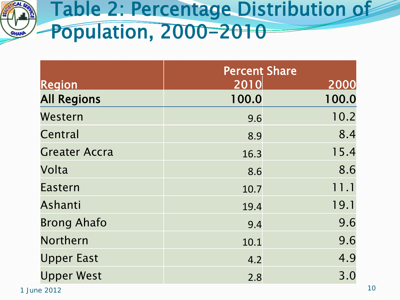

## Table 2: Percentage Distribution of Population, 2000-2010

|                      | <b>Percent Share</b> |       |  |
|----------------------|----------------------|-------|--|
| <b>Region</b>        | 2010                 | 2000  |  |
| <b>All Regions</b>   | 100.0                | 100.0 |  |
| Western              | 9.6                  | 10.2  |  |
| Central              | 8.9                  | 8.4   |  |
| <b>Greater Accra</b> | 16.3                 | 15.4  |  |
| Volta                | 8.6                  | 8.6   |  |
| <b>Eastern</b>       | 10.7                 | 11.1  |  |
| <b>Ashanti</b>       | 19.4                 | 19.1  |  |
| <b>Brong Ahafo</b>   | 9.4                  | 9.6   |  |
| Northern             | 10.1                 | 9.6   |  |
| <b>Upper East</b>    | 4.2                  | 4.9   |  |
| <b>Upper West</b>    | 2.8                  | 3.0   |  |

 $1$  June 2012  $10$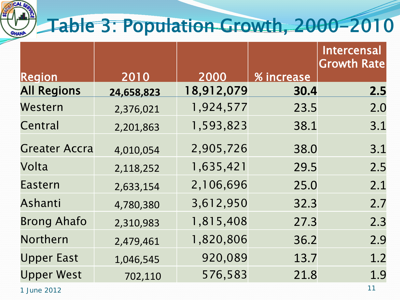

## Table 3: Population Growth, 2000-2010

| <b>Region</b>        | 2010       | 2000       | % increase | <b>Intercensal</b><br><b>Growth Rate</b> |
|----------------------|------------|------------|------------|------------------------------------------|
| <b>All Regions</b>   | 24,658,823 | 18,912,079 | 30.4       | 2.5                                      |
| Western              | 2,376,021  | 1,924,577  | 23.5       | 2.0                                      |
| Central              | 2,201,863  | 1,593,823  | 38.1       | 3.1                                      |
| <b>Greater Accra</b> | 4,010,054  | 2,905,726  | 38.0       | 3.1                                      |
| Volta                | 2,118,252  | 1,635,421  | 29.5       | 2.5                                      |
| <b>Eastern</b>       | 2,633,154  | 2,106,696  | 25.0       | 2.1                                      |
| Ashanti              | 4,780,380  | 3,612,950  | 32.3       | 2.7                                      |
| <b>Brong Ahafo</b>   | 2,310,983  | 1,815,408  | 27.3       | 2.3                                      |
| Northern             | 2,479,461  | 1,820,806  | 36.2       | 2.9                                      |
| <b>Upper East</b>    | 1,046,545  | 920,089    | 13.7       | 1.2                                      |
| <b>Upper West</b>    | 702,110    | 576,583    | 21.8       | 1.9                                      |
| 1 June 2012          |            |            |            | 11                                       |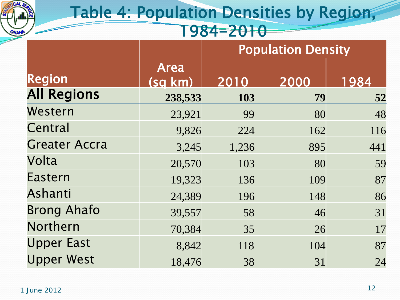

#### Table 4: Population Densities by Region, 1984-2010

|                      |                        | <b>Population Density</b> |      |      |
|----------------------|------------------------|---------------------------|------|------|
| <b>Region</b>        | <b>Area</b><br>(sg km) | 2010                      | 2000 | 1984 |
| <b>All Regions</b>   | 238,533                | 103                       | 79   | 52   |
| Western              | 23,921                 | 99                        | 80   | 48   |
| Central              | 9,826                  | 224                       | 162  | 116  |
| <b>Greater Accra</b> | 3,245                  | 1,236                     | 895  | 441  |
| Volta                | 20,570                 | 103                       | 80   | 59   |
| Eastern              | 19,323                 | 136                       | 109  | 87   |
| Ashanti              | 24,389                 | 196                       | 148  | 86   |
| <b>Brong Ahafo</b>   | 39,557                 | 58                        | 46   | 31   |
| Northern             | 70,384                 | 35                        | 26   | 17   |
| <b>Upper East</b>    | 8,842                  | 118                       | 104  | 87   |
| <b>Upper West</b>    | 18,476                 | 38                        | 31   | 24   |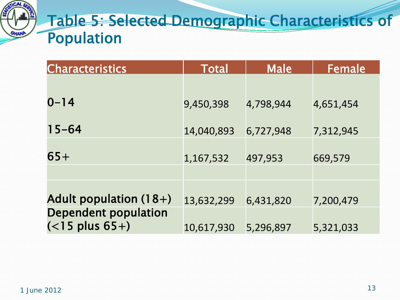

#### Table 5: Selected Demographic Characteristics of Population

| <b>Characteristics</b>                           | <b>Total</b> | <b>Male</b> | <b>Female</b> |
|--------------------------------------------------|--------------|-------------|---------------|
|                                                  |              |             |               |
| $0 - 14$                                         | 9,450,398    | 4,798,944   | 4,651,454     |
| $15 - 64$                                        | 14,040,893   | 6,727,948   | 7,312,945     |
| $65+$                                            | 1,167,532    | 497,953     | 669,579       |
|                                                  |              |             |               |
| Adult population $(18+)$                         | 13,632,299   | 6,431,820   | 7,200,479     |
| <b>Dependent population</b><br>$(<$ 15 plus 65+) | 10,617,930   | 5,296,897   | 5,321,033     |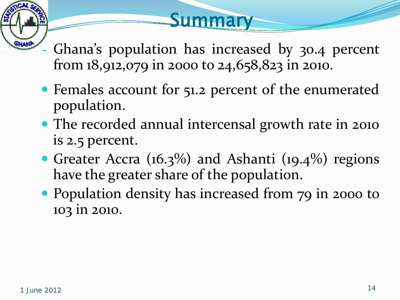### **Summary**

- Ghana's population has increased by 30.4 percent from 18,912,079 in 2000 to 24,658,823 in 2010.
- Females account for 51.2 percent of the enumerated population.
- The recorded annual intercensal growth rate in 2010 is 2.5 percent.
- Greater Accra (16.3%) and Ashanti (19.4%) regions have the greater share of the population.
- Population density has increased from 79 in 2000 to 103 in 2010.

GHANA